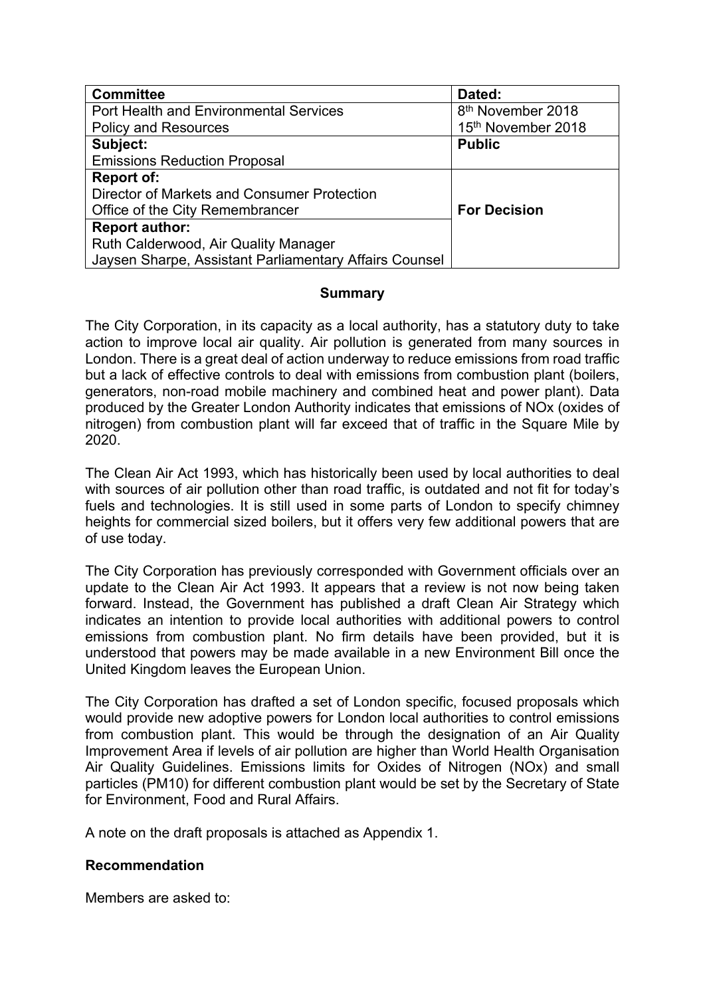| <b>Committee</b>                                       | Dated:                        |
|--------------------------------------------------------|-------------------------------|
| <b>Port Health and Environmental Services</b>          | 8 <sup>th</sup> November 2018 |
| <b>Policy and Resources</b>                            | 15th November 2018            |
| Subject:                                               | <b>Public</b>                 |
| <b>Emissions Reduction Proposal</b>                    |                               |
| <b>Report of:</b>                                      |                               |
| Director of Markets and Consumer Protection            |                               |
| Office of the City Remembrancer                        | <b>For Decision</b>           |
| <b>Report author:</b>                                  |                               |
| Ruth Calderwood, Air Quality Manager                   |                               |
| Jaysen Sharpe, Assistant Parliamentary Affairs Counsel |                               |

## **Summary**

The City Corporation, in its capacity as a local authority, has a statutory duty to take action to improve local air quality. Air pollution is generated from many sources in London. There is a great deal of action underway to reduce emissions from road traffic but a lack of effective controls to deal with emissions from combustion plant (boilers, generators, non-road mobile machinery and combined heat and power plant). Data produced by the Greater London Authority indicates that emissions of NOx (oxides of nitrogen) from combustion plant will far exceed that of traffic in the Square Mile by 2020.

The Clean Air Act 1993, which has historically been used by local authorities to deal with sources of air pollution other than road traffic, is outdated and not fit for today's fuels and technologies. It is still used in some parts of London to specify chimney heights for commercial sized boilers, but it offers very few additional powers that are of use today.

The City Corporation has previously corresponded with Government officials over an update to the Clean Air Act 1993. It appears that a review is not now being taken forward. Instead, the Government has published a draft Clean Air Strategy which indicates an intention to provide local authorities with additional powers to control emissions from combustion plant. No firm details have been provided, but it is understood that powers may be made available in a new Environment Bill once the United Kingdom leaves the European Union.

The City Corporation has drafted a set of London specific, focused proposals which would provide new adoptive powers for London local authorities to control emissions from combustion plant. This would be through the designation of an Air Quality Improvement Area if levels of air pollution are higher than World Health Organisation Air Quality Guidelines. Emissions limits for Oxides of Nitrogen (NOx) and small particles (PM10) for different combustion plant would be set by the Secretary of State for Environment, Food and Rural Affairs.

A note on the draft proposals is attached as Appendix 1.

# **Recommendation**

Members are asked to: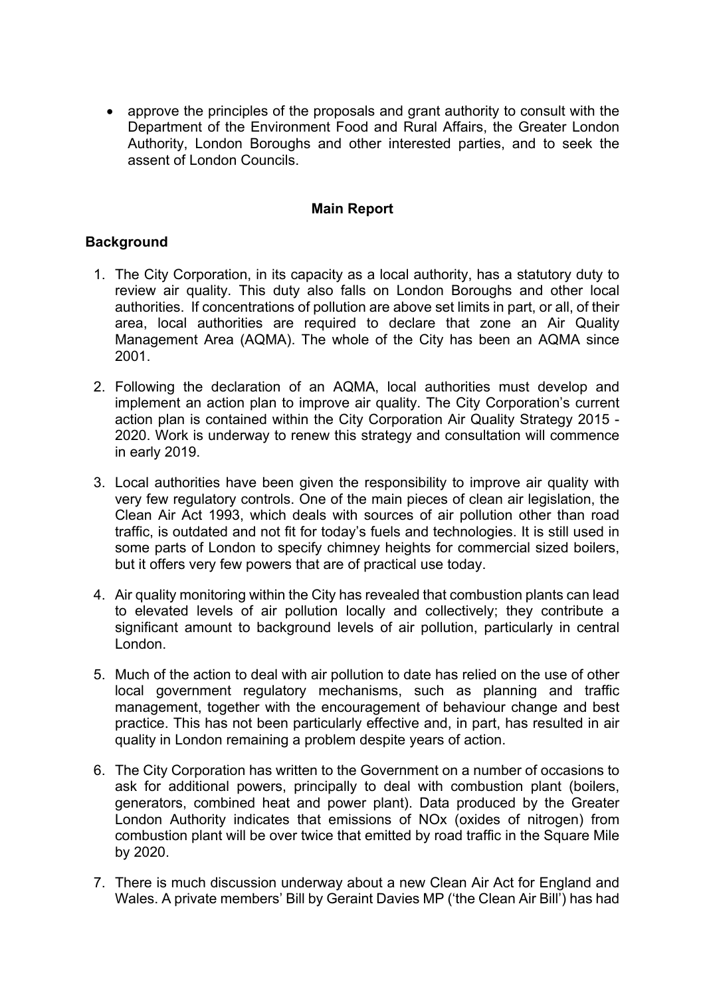approve the principles of the proposals and grant authority to consult with the Department of the Environment Food and Rural Affairs, the Greater London Authority, London Boroughs and other interested parties, and to seek the assent of London Councils.

## **Main Report**

## **Background**

- 1. The City Corporation, in its capacity as a local authority, has a statutory duty to review air quality. This duty also falls on London Boroughs and other local authorities. If concentrations of pollution are above set limits in part, or all, of their area, local authorities are required to declare that zone an Air Quality Management Area (AQMA). The whole of the City has been an AQMA since 2001.
- 2. Following the declaration of an AQMA, local authorities must develop and implement an action plan to improve air quality. The City Corporation's current action plan is contained within the City Corporation Air Quality Strategy 2015 - 2020. Work is underway to renew this strategy and consultation will commence in early 2019.
- 3. Local authorities have been given the responsibility to improve air quality with very few regulatory controls. One of the main pieces of clean air legislation, the Clean Air Act 1993, which deals with sources of air pollution other than road traffic, is outdated and not fit for today's fuels and technologies. It is still used in some parts of London to specify chimney heights for commercial sized boilers, but it offers very few powers that are of practical use today.
- 4. Air quality monitoring within the City has revealed that combustion plants can lead to elevated levels of air pollution locally and collectively; they contribute a significant amount to background levels of air pollution, particularly in central London.
- 5. Much of the action to deal with air pollution to date has relied on the use of other local government regulatory mechanisms, such as planning and traffic management, together with the encouragement of behaviour change and best practice. This has not been particularly effective and, in part, has resulted in air quality in London remaining a problem despite years of action.
- 6. The City Corporation has written to the Government on a number of occasions to ask for additional powers, principally to deal with combustion plant (boilers, generators, combined heat and power plant). Data produced by the Greater London Authority indicates that emissions of NOx (oxides of nitrogen) from combustion plant will be over twice that emitted by road traffic in the Square Mile by 2020.
- 7. There is much discussion underway about a new Clean Air Act for England and Wales. A private members' Bill by Geraint Davies MP ('the Clean Air Bill') has had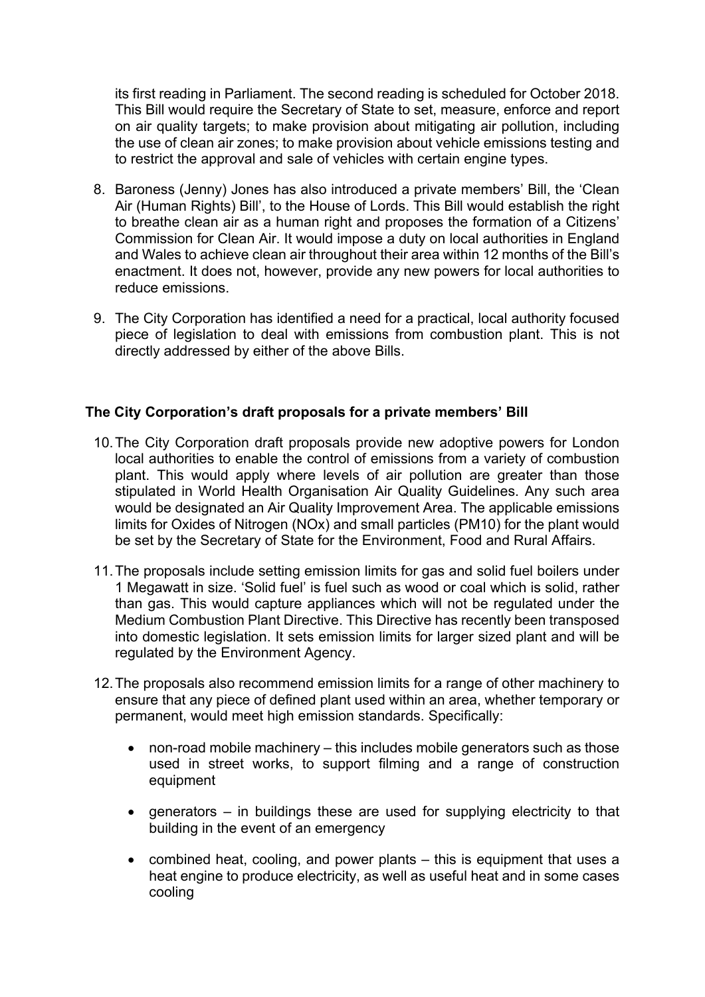its first reading in Parliament. The second reading is scheduled for October 2018. This Bill would require the Secretary of State to set, measure, enforce and report on air quality targets; to make provision about mitigating air pollution, including the use of clean air zones; to make provision about vehicle emissions testing and to restrict the approval and sale of vehicles with certain engine types.

- 8. Baroness (Jenny) Jones has also introduced a private members' Bill, the 'Clean Air (Human Rights) Bill', to the House of Lords. This Bill would establish the right to breathe clean air as a human right and proposes the formation of a Citizens' Commission for Clean Air. It would impose a duty on local authorities in England and Wales to achieve clean air throughout their area within 12 months of the Bill's enactment. It does not, however, provide any new powers for local authorities to reduce emissions.
- 9. The City Corporation has identified a need for a practical, local authority focused piece of legislation to deal with emissions from combustion plant. This is not directly addressed by either of the above Bills.

## **The City Corporation's draft proposals for a private members' Bill**

- 10.The City Corporation draft proposals provide new adoptive powers for London local authorities to enable the control of emissions from a variety of combustion plant. This would apply where levels of air pollution are greater than those stipulated in World Health Organisation Air Quality Guidelines. Any such area would be designated an Air Quality Improvement Area. The applicable emissions limits for Oxides of Nitrogen (NOx) and small particles (PM10) for the plant would be set by the Secretary of State for the Environment, Food and Rural Affairs.
- 11.The proposals include setting emission limits for gas and solid fuel boilers under 1 Megawatt in size. 'Solid fuel' is fuel such as wood or coal which is solid, rather than gas. This would capture appliances which will not be regulated under the Medium Combustion Plant Directive. This Directive has recently been transposed into domestic legislation. It sets emission limits for larger sized plant and will be regulated by the Environment Agency.
- 12.The proposals also recommend emission limits for a range of other machinery to ensure that any piece of defined plant used within an area, whether temporary or permanent, would meet high emission standards. Specifically:
	- non-road mobile machinery this includes mobile generators such as those used in street works, to support filming and a range of construction equipment
	- generators in buildings these are used for supplying electricity to that building in the event of an emergency
	- combined heat, cooling, and power plants this is equipment that uses a heat engine to produce electricity, as well as useful heat and in some cases cooling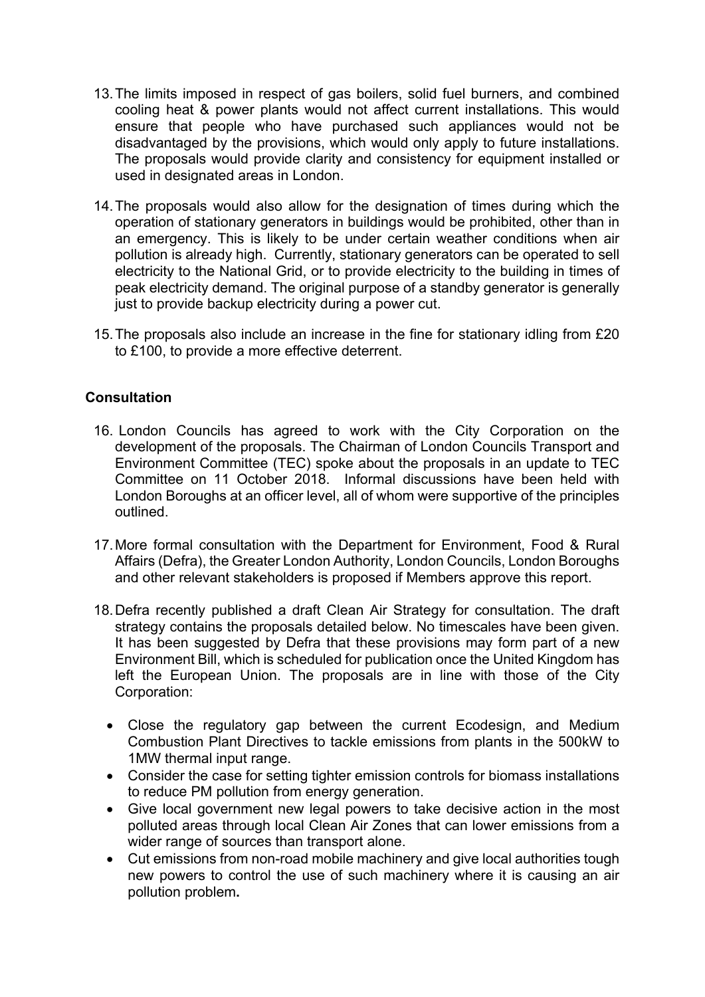- 13.The limits imposed in respect of gas boilers, solid fuel burners, and combined cooling heat & power plants would not affect current installations. This would ensure that people who have purchased such appliances would not be disadvantaged by the provisions, which would only apply to future installations. The proposals would provide clarity and consistency for equipment installed or used in designated areas in London.
- 14.The proposals would also allow for the designation of times during which the operation of stationary generators in buildings would be prohibited, other than in an emergency. This is likely to be under certain weather conditions when air pollution is already high. Currently, stationary generators can be operated to sell electricity to the National Grid, or to provide electricity to the building in times of peak electricity demand. The original purpose of a standby generator is generally just to provide backup electricity during a power cut.
- 15.The proposals also include an increase in the fine for stationary idling from £20 to £100, to provide a more effective deterrent.

## **Consultation**

- 16. London Councils has agreed to work with the City Corporation on the development of the proposals. The Chairman of London Councils Transport and Environment Committee (TEC) spoke about the proposals in an update to TEC Committee on 11 October 2018. Informal discussions have been held with London Boroughs at an officer level, all of whom were supportive of the principles outlined.
- 17.More formal consultation with the Department for Environment, Food & Rural Affairs (Defra), the Greater London Authority, London Councils, London Boroughs and other relevant stakeholders is proposed if Members approve this report.
- 18.Defra recently published a draft Clean Air Strategy for consultation. The draft strategy contains the proposals detailed below. No timescales have been given. It has been suggested by Defra that these provisions may form part of a new Environment Bill, which is scheduled for publication once the United Kingdom has left the European Union. The proposals are in line with those of the City Corporation:
	- Close the regulatory gap between the current Ecodesign, and Medium Combustion Plant Directives to tackle emissions from plants in the 500kW to 1MW thermal input range.
	- Consider the case for setting tighter emission controls for biomass installations to reduce PM pollution from energy generation.
	- Give local government new legal powers to take decisive action in the most polluted areas through local Clean Air Zones that can lower emissions from a wider range of sources than transport alone.
	- Cut emissions from non-road mobile machinery and give local authorities tough new powers to control the use of such machinery where it is causing an air pollution problem**.**